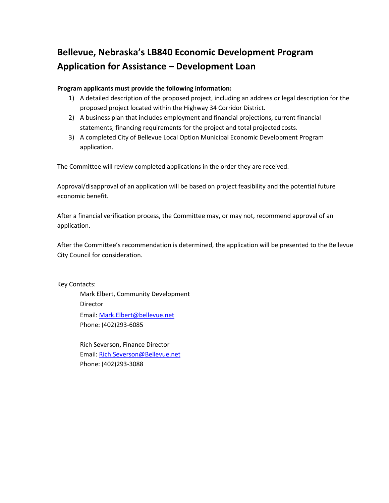# **Bellevue, Nebraska's LB840 Economic Development Program Application for Assistance – Development Loan**

## **Program applicants must provide the following information:**

- 1) A detailed description of the proposed project, including an address or legal description for the proposed project located within the Highway 34 Corridor District.
- 2) A business plan that includes employment and financial projections, current financial statements, financing requirements for the project and total projected costs.
- 3) A completed City of Bellevue Local Option Municipal Economic Development Program application.

The Committee will review completed applications in the order they are received.

Approval/disapproval of an application will be based on project feasibility and the potential future economic benefit.

After a financial verification process, the Committee may, or may not, recommend approval of an application.

After the Committee's recommendation is determined, the application will be presented to the Bellevue City Council for consideration.

Key Contacts:

Mark Elbert, Community Development Director Email: [Mark.Elbert@bellevue.net](mailto:Larry.Burks@Bellevue.net) Phone: (402)293-6085

Rich Severson, Finance Director Email: [Rich.Severson@Bellevue.net](mailto:Rich.Severson@Bellevue.net) Phone: (402)293-3088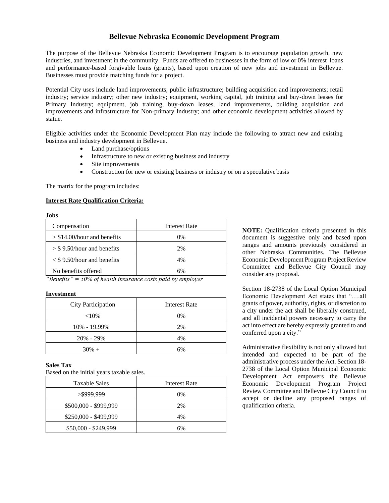### **Bellevue Nebraska Economic Development Program**

The purpose of the Bellevue Nebraska Economic Development Program is to encourage population growth, new industries, and investment in the community. Funds are offered to businesses in the form of low or 0% interest loans and performance-based forgivable loans (grants), based upon creation of new jobs and investment in Bellevue. Businesses must provide matching funds for a project.

Potential City uses include land improvements; public infrastructure; building acquisition and improvements; retail industry; service industry; other new industry; equipment, working capital, job training and buy-down leases for Primary Industry; equipment, job training, buy-down leases, land improvements, building acquisition and improvements and infrastructure for Non-primary Industry; and other economic development activities allowed by statue.

Eligible activities under the Economic Development Plan may include the following to attract new and existing business and industry development in Bellevue.

- Land purchase/options
- Infrastructure to new or existing business and industry
- Site improvements
- Construction for new or existing business or industry or on a speculative basis

The matrix for the program includes:

#### **Interest Rate Qualification Criteria:**

| Compensation                       | Interest Rate |
|------------------------------------|---------------|
| $> $14.00/h$ our and benefits      | 0%            |
| $>$ \$9.50/hour and benefits       | 2%            |
| $\langle$ \$9.50/hour and benefits | 4%            |
| No benefits offered                | 6%            |

*"Benefits" = 50% of health insurance costs paid by employer*

#### **Investment**

| City Participation | Interest Rate |  |  |
|--------------------|---------------|--|--|
| ${<}10\%$          | $0\%$         |  |  |
| 10% - 19.99%       | 2%            |  |  |
| $20\% - 29\%$      | 4%            |  |  |
| $30\% +$           | 6%            |  |  |

#### **Sales Tax**

Based on the initial years taxable sales.

| <b>Taxable Sales</b>  | Interest Rate |
|-----------------------|---------------|
| >\$999,999            | $0\%$         |
| \$500,000 - \$999,999 | 2%            |
| $$250,000 - $499,999$ | 4%            |
| \$50,000 - \$249,999  | 6%            |

**NOTE:** Qualification criteria presented in this document is suggestive only and based upon ranges and amounts previously considered in other Nebraska Communities. The Bellevue Economic Development Program Project Review Committee and Bellevue City Council may consider any proposal.

Section 18-2738 of the Local Option Municipal Economic Development Act states that "….all grants of power, authority, rights, or discretion to a city under the act shall be liberally construed, and all incidental powers necessary to carry the act into effect are hereby expressly granted to and conferred upon a city."

Administrative flexibility is not only allowed but intended and expected to be part of the administrative process under the Act. Section 18- 2738 of the Local Option Municipal Economic Development Act empowers the Bellevue Economic Development Program Project Review Committee and Bellevue City Council to accept or decline any proposed ranges of qualification criteria.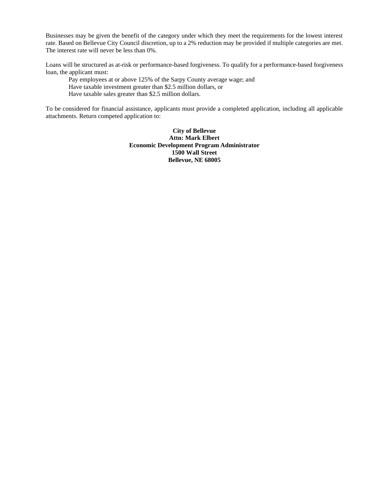Businesses may be given the benefit of the category under which they meet the requirements for the lowest interest rate. Based on Bellevue City Council discretion, up to a 2% reduction may be provided if multiple categories are met. The interest rate will never be less than 0%.

Loans will be structured as at-risk or performance-based forgiveness. To qualify for a performance-based forgiveness loan, the applicant must:

Pay employees at or above 125% of the Sarpy County average wage; and Have taxable investment greater than \$2.5 million dollars, or Have taxable sales greater than \$2.5 million dollars.

To be considered for financial assistance, applicants must provide a completed application, including all applicable attachments. Return competed application to:

> **City of Bellevue Attn: Mark Elbert Economic Development Program Administrator 1500 Wall Street Bellevue, NE 68005**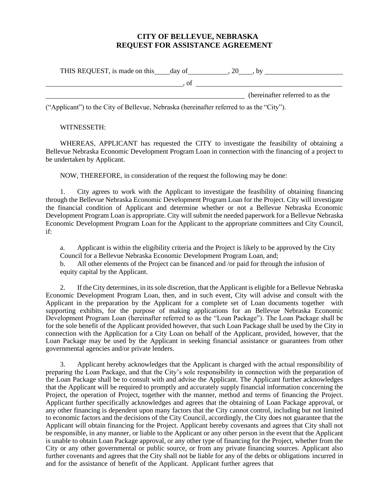# **CITY OF BELLEVUE, NEBRASKA REQUEST FOR ASSISTANCE AGREEMENT**

| THIS REQUEST, is made on this _____ day of |  |                                 |
|--------------------------------------------|--|---------------------------------|
|                                            |  |                                 |
|                                            |  | (hereinafter referred to as the |
|                                            |  |                                 |

("Applicant") to the City of Bellevue, Nebraska (hereinafter referred to as the "City").

### WITNESSETH:

WHEREAS, APPLICANT has requested the CITY to investigate the feasibility of obtaining a Bellevue Nebraska Economic Development Program Loan in connection with the financing of a project to be undertaken by Applicant.

NOW, THEREFORE, in consideration of the request the following may be done:

1. City agrees to work with the Applicant to investigate the feasibility of obtaining financing through the Bellevue Nebraska Economic Development Program Loan for the Project. City will investigate the financial condition of Applicant and determine whether or not a Bellevue Nebraska Economic Development Program Loan is appropriate. City will submit the needed paperwork for a Bellevue Nebraska Economic Development Program Loan for the Applicant to the appropriate committees and City Council, if:

a. Applicant is within the eligibility criteria and the Project is likely to be approved by the City Council for a Bellevue Nebraska Economic Development Program Loan, and;

b. All other elements of the Project can be financed and /or paid for through the infusion of equity capital by the Applicant.

2. If the City determines, in its sole discretion, that the Applicant is eligible for a Bellevue Nebraska Economic Development Program Loan, then, and in such event, City will advise and consult with the Applicant in the preparation by the Applicant for a complete set of Loan documents together with supporting exhibits, for the purpose of making applications for an Bellevue Nebraska Economic Development Program Loan (hereinafter referred to as the "Loan Package"). The Loan Package shall be for the sole benefit of the Applicant provided however, that such Loan Package shall be used by the City in connection with the Application for a City Loan on behalf of the Applicant, provided, however, that the Loan Package may be used by the Applicant in seeking financial assistance or guarantees from other governmental agencies and/or private lenders.

3. Applicant hereby acknowledges that the Applicant is charged with the actual responsibility of preparing the Loan Package, and that the City's sole responsibility in connection with the preparation of the Loan Package shall be to consult with and advise the Applicant. The Applicant further acknowledges that the Applicant will be required to promptly and accurately supply financial information concerning the Project, the operation of Project, together with the manner, method and terms of financing the Project. Applicant further specifically acknowledges and agrees that the obtaining of Loan Package approval, or any other financing is dependent upon many factors that the City cannot control, including but not limited to economic factors and the decisions of the City Council, accordingly, the City does not guarantee that the Applicant will obtain financing for the Project. Applicant hereby covenants and agrees that City shall not be responsible, in any manner, or liable to the Applicant or any other person in the event that the Applicant is unable to obtain Loan Package approval, or any other type of financing for the Project, whether from the City or any other governmental or public source, or from any private financing sources. Applicant also further covenants and agrees that the City shall not be liable for any of the debts or obligations incurred in and for the assistance of benefit of the Applicant. Applicant further agrees that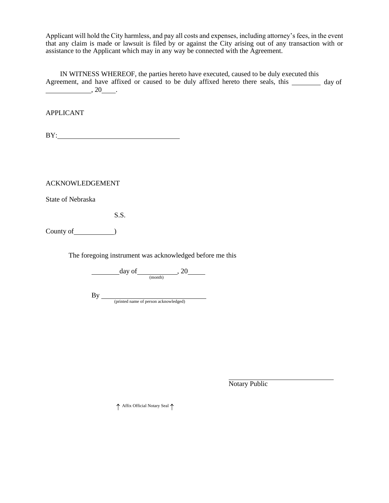Applicant will hold the City harmless, and pay all costs and expenses, including attorney's fees, in the event that any claim is made or lawsuit is filed by or against the City arising out of any transaction with or assistance to the Applicant which may in any way be connected with the Agreement.

IN WITNESS WHEREOF, the parties hereto have executed, caused to be duly executed this Agreement, and have affixed or caused to be duly affixed hereto there seals, this \_\_\_\_\_\_\_ day of  $\frac{1}{20}$ , 20  $\frac{1}{20}$ .

APPLICANT

BY:

ACKNOWLEDGEMENT

State of Nebraska

S.S.

County of  $\qquad \qquad$  )

The foregoing instrument was acknowledged before me this

day of  $\frac{}{\frac{(\text{month})}{(\text{month})}}$ , 20

By (printed name of person acknowledged)

Notary Public

↑ Affix Official Notary Seal ↑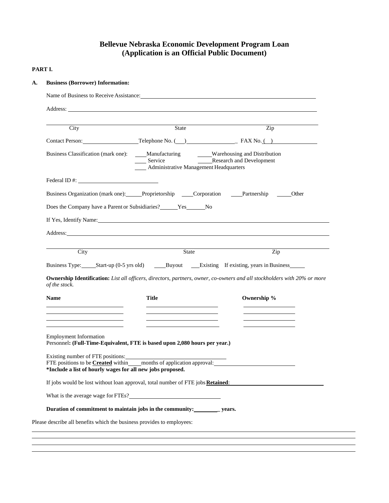# **Bellevue Nebraska Economic Development Program Loan (Application is an Official Public Document)**

#### **PART I.**

| Address: Analysis and the contract of the contract of the contract of the contract of the contract of the contract of the contract of the contract of the contract of the contract of the contract of the contract of the cont                                                                                                                                                                                                                                   |                                                                                                                                |       |                           |                                            |
|------------------------------------------------------------------------------------------------------------------------------------------------------------------------------------------------------------------------------------------------------------------------------------------------------------------------------------------------------------------------------------------------------------------------------------------------------------------|--------------------------------------------------------------------------------------------------------------------------------|-------|---------------------------|--------------------------------------------|
| City                                                                                                                                                                                                                                                                                                                                                                                                                                                             | State                                                                                                                          |       | $\overline{\mathrm{Zip}}$ |                                            |
|                                                                                                                                                                                                                                                                                                                                                                                                                                                                  |                                                                                                                                |       |                           |                                            |
| Business Classification (mark one):                                                                                                                                                                                                                                                                                                                                                                                                                              | Manufacturing Warehousing and Distribution<br>Service Research and Development<br>__ Service<br><b>Management Headquarters</b> |       |                           |                                            |
| Federal ID #:                                                                                                                                                                                                                                                                                                                                                                                                                                                    |                                                                                                                                |       |                           |                                            |
| Business Organization (mark one): Proprietorship Corporation Partnership Other                                                                                                                                                                                                                                                                                                                                                                                   |                                                                                                                                |       |                           |                                            |
| Does the Company have a Parent or Subsidiaries? ______ Yes ______ No                                                                                                                                                                                                                                                                                                                                                                                             |                                                                                                                                |       |                           |                                            |
|                                                                                                                                                                                                                                                                                                                                                                                                                                                                  |                                                                                                                                |       |                           |                                            |
|                                                                                                                                                                                                                                                                                                                                                                                                                                                                  |                                                                                                                                |       |                           |                                            |
| If Yes, Identify Name: 1988. The same state of the state of the state of the state of the state of the state of the state of the state of the state of the state of the state of the state of the state of the state of the st<br>Address: National Address: National Address: National Address: National Address: National Address: National Address: National Address: National Address: National Address: National Address: National Address: National Addres |                                                                                                                                |       |                           |                                            |
|                                                                                                                                                                                                                                                                                                                                                                                                                                                                  |                                                                                                                                |       |                           |                                            |
| City                                                                                                                                                                                                                                                                                                                                                                                                                                                             |                                                                                                                                | State | $\overline{Zip}$          | <u> 1980 - Johann Barn, mars ann an t-</u> |
|                                                                                                                                                                                                                                                                                                                                                                                                                                                                  |                                                                                                                                |       |                           |                                            |
|                                                                                                                                                                                                                                                                                                                                                                                                                                                                  |                                                                                                                                |       |                           |                                            |
| Ownership Identification: List all officers, directors, partners, owner, co-owners and all stockholders with 20% or more<br>of the stock.                                                                                                                                                                                                                                                                                                                        |                                                                                                                                |       |                           |                                            |
| <b>Name</b>                                                                                                                                                                                                                                                                                                                                                                                                                                                      | <b>Title</b>                                                                                                                   |       | Ownership %               |                                            |
| the control of the control of the control of the<br>the control of the control of the control of the control of the control of                                                                                                                                                                                                                                                                                                                                   | the control of the control of the control of<br>the control of the control of the control of the control of the control of     |       |                           |                                            |
|                                                                                                                                                                                                                                                                                                                                                                                                                                                                  |                                                                                                                                |       |                           |                                            |
| <b>Employment Information</b>                                                                                                                                                                                                                                                                                                                                                                                                                                    |                                                                                                                                |       |                           |                                            |
| Personnel: (Full-Time-Equivalent, FTE is based upon 2,080 hours per year.)                                                                                                                                                                                                                                                                                                                                                                                       |                                                                                                                                |       |                           |                                            |
| Existing number of FTE positions:                                                                                                                                                                                                                                                                                                                                                                                                                                |                                                                                                                                |       |                           |                                            |
| FTE positions to be <b>Created</b> within months of application approval:<br>*Include a list of hourly wages for all new jobs proposed.                                                                                                                                                                                                                                                                                                                          |                                                                                                                                |       |                           |                                            |
| If jobs would be lost without loan approval, total number of FTE jobs Retained:                                                                                                                                                                                                                                                                                                                                                                                  |                                                                                                                                |       |                           |                                            |
|                                                                                                                                                                                                                                                                                                                                                                                                                                                                  |                                                                                                                                |       |                           |                                            |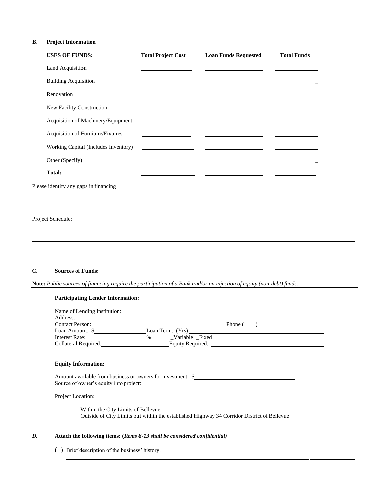#### **B. Project Information**

|              | <b>USES OF FUNDS:</b>                                                                                                                                                                                                     | <b>Total Project Cost</b>                   | <b>Loan Funds Requested</b> | <b>Total Funds</b> |  |
|--------------|---------------------------------------------------------------------------------------------------------------------------------------------------------------------------------------------------------------------------|---------------------------------------------|-----------------------------|--------------------|--|
|              | Land Acquisition                                                                                                                                                                                                          |                                             |                             |                    |  |
|              | <b>Building Acquisition</b>                                                                                                                                                                                               |                                             |                             |                    |  |
|              | Renovation                                                                                                                                                                                                                |                                             |                             |                    |  |
|              | New Facility Construction                                                                                                                                                                                                 |                                             |                             |                    |  |
|              | Acquisition of Machinery/Equipment                                                                                                                                                                                        |                                             |                             |                    |  |
|              | Acquisition of Furniture/Fixtures                                                                                                                                                                                         | <u> 1989 - Johann Barnett, fransk konge</u> |                             |                    |  |
|              | Working Capital (Includes Inventory)                                                                                                                                                                                      | <u> 1990 - Johann Barbara, martin a</u>     |                             |                    |  |
|              | Other (Specify)                                                                                                                                                                                                           |                                             |                             |                    |  |
|              | <b>Total:</b>                                                                                                                                                                                                             |                                             |                             |                    |  |
|              |                                                                                                                                                                                                                           |                                             |                             |                    |  |
|              |                                                                                                                                                                                                                           |                                             |                             |                    |  |
|              | Project Schedule:<br>,我们也不会有什么。""我们的人,我们也不会有什么?""我们的人,我们也不会有什么?""我们的人,我们也不会有什么?""我们的人,我们也不会有什么?""我们的人<br>and the control of the control of the control of the control of the control of the control of the control of the |                                             |                             |                    |  |
|              |                                                                                                                                                                                                                           |                                             |                             |                    |  |
| $\mathbf{C}$ | <b>Sources of Funds:</b>                                                                                                                                                                                                  |                                             |                             |                    |  |
|              | Note: Public sources of financing require the participation of a Bank and/or an injection of equity (non-debt) funds.                                                                                                     |                                             |                             |                    |  |
|              | <b>Participating Lender Information:</b>                                                                                                                                                                                  |                                             |                             |                    |  |
|              | Name of Lending Institution:<br>Address:                                                                                                                                                                                  |                                             |                             |                    |  |
|              | Contact Person:                                                                                                                                                                                                           |                                             | Phone (<br>$\lambda$        |                    |  |

| <b>Contact Person:</b> |                       | <b>Phone</b> |
|------------------------|-----------------------|--------------|
| Loan Amount: \$        | Loan Term: (Yrs)      |              |
| Interest Rate:         | Variable Fixed<br>0/2 |              |
| Collateral Required:   | Equity Required:      |              |
|                        |                       |              |

#### **Equity Information:**

| Amount available from business or owners for investment: \$ |  |
|-------------------------------------------------------------|--|
| Source of owner's equity into project:                      |  |

Project Location:

Within the City Limits of Bellevue Outside of City Limits but within the established Highway 34 Corridor District of Bellevue

#### *D.* **Attach the following items: (***Items 8-13 shall be considered confidential)*

(1) Brief description of the business' history.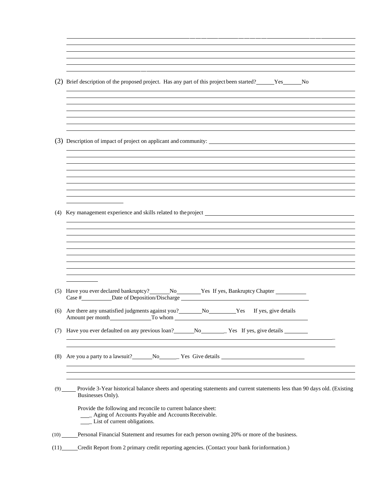| (2) Brief description of the proposed project. Has any part of this project been started? No No                                                |  |
|------------------------------------------------------------------------------------------------------------------------------------------------|--|
|                                                                                                                                                |  |
|                                                                                                                                                |  |
|                                                                                                                                                |  |
|                                                                                                                                                |  |
| (3) Description of impact of project on applicant and community:                                                                               |  |
|                                                                                                                                                |  |
|                                                                                                                                                |  |
|                                                                                                                                                |  |
|                                                                                                                                                |  |
|                                                                                                                                                |  |
|                                                                                                                                                |  |
|                                                                                                                                                |  |
|                                                                                                                                                |  |
|                                                                                                                                                |  |
|                                                                                                                                                |  |
|                                                                                                                                                |  |
|                                                                                                                                                |  |
|                                                                                                                                                |  |
| (5) Have you ever declared bankruptcy? _______ No __________ Yes If yes, Bankruptcy Chapter _____________                                      |  |
| Case #____________Date of Deposition/Discharge __________________________________                                                              |  |
| Are there any unsatisfied judgments against you? No No Yes If yes, give details                                                                |  |
| Have you ever defaulted on any previous loan? No No New York Street, also electails                                                            |  |
|                                                                                                                                                |  |
|                                                                                                                                                |  |
| (8) Are you a party to a lawsuit? No No New Yes Give details                                                                                   |  |
|                                                                                                                                                |  |
|                                                                                                                                                |  |
|                                                                                                                                                |  |
| Provide 3-Year historical balance sheets and operating statements and current statements less than 90 days old. (Existing<br>Businesses Only). |  |
| Provide the following and reconcile to current balance sheet:                                                                                  |  |
| ____ Aging of Accounts Payable and Accounts Receivable.<br>___ List of current obligations.                                                    |  |

 $\overline{a}$ 

(11) Credit Report from 2 primary credit reporting agencies. (Contact your bank forinformation.)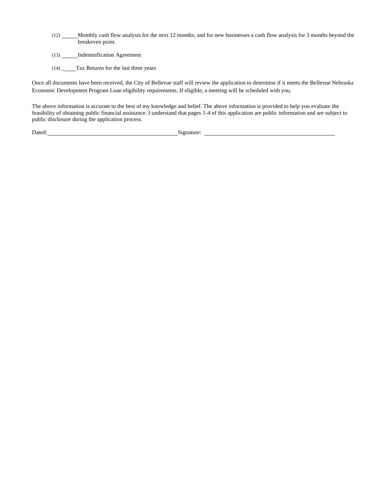- (12) Monthly cash flow analysis for the next 12 months; and for new businesses a cash flow analysis for 3 months beyond the breakeven point.
- (13) **Indemnification Agreement**
- (14) \_\_\_\_\_Tax Returns for the last three years

Once all documents have been received, the City of Bellevue staff will review the application to determine if it meets the Bellevue Nebraska Economic Development Program Loan eligibility requirements. If eligible, a meeting will be scheduled with you.

The above information is accurate to the best of my knowledge and belief. The above information is provided to help you evaluate the feasibility of obtaining public financial assistance. I understand that pages 1-4 of this application are public information and are subject to public disclosure during the application process.

Dated: Signature: Signature: Signature: Signature: Signature: Signature: Signature: Signature: Signature: Signature: Signature: Signature: Signature: Signature: Signature: Signature: Signature: Signature: Signature: Signat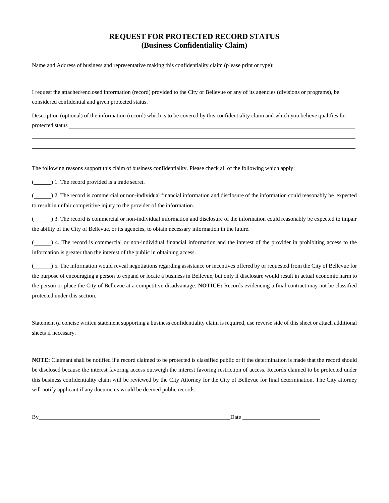# **REQUEST FOR PROTECTED RECORD STATUS (Business Confidentiality Claim)**

Name and Address of business and representative making this confidentiality claim (please print or type):

I request the attached/enclosed information (record) provided to the City of Bellevue or any of its agencies (divisions or programs), be considered confidential and given protected status.

Description (optional) of the information (record) which is to be covered by this confidentiality claim and which you believe qualifies for protected status

The following reasons support this claim of business confidentiality. Please check all of the following which apply:

( $\Box$ ) 1. The record provided is a trade secret.

( ) 2. The record is commercial or non-individual financial information and disclosure of the information could reasonably be expected to result in unfair competitive injury to the provider of the information.

( $\qquad$ ) 3. The record is commercial or non-individual information and disclosure of the information could reasonably be expected to impair the ability of the City of Bellevue, or its agencies, to obtain necessary information in the future.

(  $\Box$ ) 4. The record is commercial or non-individual financial information and the interest of the provider in prohibiting access to the information is greater than the interest of the public in obtaining access.

(  $\qquad$ ) 5. The information would reveal negotiations regarding assistance or incentives offered by or requested from the City of Bellevue for the purpose of encouraging a person to expand or locate a business in Bellevue, but only if disclosure would result in actual economic harm to the person or place the City of Bellevue at a competitive disadvantage. **NOTICE:** Records evidencing a final contract may not be classified protected under this section.

Statement (a concise written statement supporting a business confidentiality claim is required, use reverse side of this sheet or attach additional sheets if necessary.

**NOTE:** Claimant shall be notified if a record claimed to be protected is classified public or if the determination is made that the record should be disclosed because the interest favoring access outweigh the interest favoring restriction of access. Records claimed to be protected under this business confidentiality claim will be reviewed by the City Attorney for the City of Bellevue for final determination. The City attorney will notify applicant if any documents would be deemed public records.

By Date and the District of the United States of the United States of the United States of the United States of the United States of the United States of the United States of the United States of the United States of the U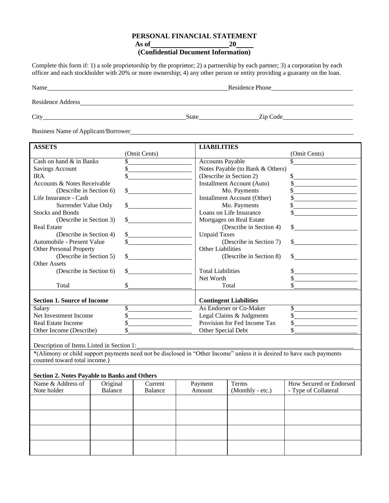### **PERSONAL FINANCIAL STATEMENT**

**As of 20**

# **(Confidential Document Information)**

Complete this form if: 1) a sole proprietorship by the proprietor; 2) a partnership by each partner; 3) a corporation by each officer and each stockholder with 20% or more ownership; 4) any other person or entity providing a guaranty on the loan.

| Name                     | Residence Phone |
|--------------------------|-----------------|
| <b>Residence Address</b> |                 |

City State Zip Code

Business Name of Applicant/Borrower

| <b>ASSETS</b>                                       |          |                                         |  | <b>LIABILITIES</b>            |                                   |                                                                                                                        |
|-----------------------------------------------------|----------|-----------------------------------------|--|-------------------------------|-----------------------------------|------------------------------------------------------------------------------------------------------------------------|
|                                                     |          | (Omit Cents)                            |  |                               |                                   | (Omit Cents)                                                                                                           |
| Cash on hand & in Banks                             |          |                                         |  | <b>Accounts Payable</b>       |                                   |                                                                                                                        |
| <b>Savings Account</b>                              | \$       |                                         |  |                               | Notes Payable (to Bank & Others)  |                                                                                                                        |
| <b>IRA</b>                                          |          |                                         |  |                               | (Describe in Section 2)           | \$                                                                                                                     |
| Accounts & Notes Receivable                         |          |                                         |  |                               | <b>Installment Account (Auto)</b> | $\frac{1}{\sqrt{2}}$                                                                                                   |
| (Describe in Section 6)                             |          |                                         |  |                               | Mo. Payments                      | \$                                                                                                                     |
| Life Insurance - Cash                               |          |                                         |  |                               | Installment Account (Other)       |                                                                                                                        |
| Surrender Value Only                                |          |                                         |  |                               | Mo. Payments                      |                                                                                                                        |
| <b>Stocks and Bonds</b>                             |          |                                         |  |                               | Loans on Life Insurance           |                                                                                                                        |
| (Describe in Section 3)                             |          |                                         |  |                               | Mortgages on Real Estate          |                                                                                                                        |
| <b>Real Estate</b>                                  |          |                                         |  |                               | (Describe in Section 4)           |                                                                                                                        |
| (Describe in Section 4)                             |          | $\frac{1}{2}$                           |  | <b>Unpaid Taxes</b>           |                                   |                                                                                                                        |
| Automobile - Present Value                          |          |                                         |  |                               | (Describe in Section 7)           |                                                                                                                        |
| <b>Other Personal Property</b>                      |          |                                         |  | <b>Other Liabilities</b>      |                                   |                                                                                                                        |
| (Describe in Section 5)                             |          |                                         |  |                               | (Describe in Section 8)           | \$                                                                                                                     |
| <b>Other Assets</b>                                 |          |                                         |  |                               |                                   |                                                                                                                        |
| (Describe in Section 6)                             |          |                                         |  | <b>Total Liabilities</b>      |                                   |                                                                                                                        |
|                                                     |          |                                         |  | Net Worth                     |                                   |                                                                                                                        |
| Total                                               |          |                                         |  |                               | Total                             |                                                                                                                        |
|                                                     |          |                                         |  |                               |                                   |                                                                                                                        |
| <b>Section 1. Source of Income</b>                  |          |                                         |  | <b>Contingent Liabilities</b> |                                   |                                                                                                                        |
| Salary                                              |          |                                         |  | As Endorser or Co-Maker<br>\$ |                                   |                                                                                                                        |
| Net Investment Income                               |          | <u> 1989 - Johann Barbara, martin a</u> |  | Legal Claims & Judgments      |                                   | $\mathbb{S}$                                                                                                           |
| <b>Real Estate Income</b>                           |          |                                         |  |                               | Provision for Fed Income Tax      | \$                                                                                                                     |
| Other Income (Describe)                             |          |                                         |  | Other Special Debt            |                                   |                                                                                                                        |
|                                                     |          |                                         |  |                               |                                   |                                                                                                                        |
| Description of Items Listed in Section 1:           |          |                                         |  |                               |                                   |                                                                                                                        |
|                                                     |          |                                         |  |                               |                                   | *(Alimony or child support payments need not be disclosed in "Other Income" unless it is desired to have such payments |
| counted toward total income.)                       |          |                                         |  |                               |                                   |                                                                                                                        |
|                                                     |          |                                         |  |                               |                                   |                                                                                                                        |
| <b>Section 2. Notes Payable to Banks and Others</b> |          |                                         |  |                               |                                   |                                                                                                                        |
| Name & Address of                                   | Original | Current                                 |  | Payment                       | Terms                             | How Secured or Endorsed                                                                                                |
| Note holder                                         | Balance  | Balance                                 |  | Amount                        | (Monthly - etc.)                  | - Type of Collateral                                                                                                   |
|                                                     |          |                                         |  |                               |                                   |                                                                                                                        |
|                                                     |          |                                         |  |                               |                                   |                                                                                                                        |
|                                                     |          |                                         |  |                               |                                   |                                                                                                                        |
|                                                     |          |                                         |  |                               |                                   |                                                                                                                        |
|                                                     |          |                                         |  |                               |                                   |                                                                                                                        |
|                                                     |          |                                         |  |                               |                                   |                                                                                                                        |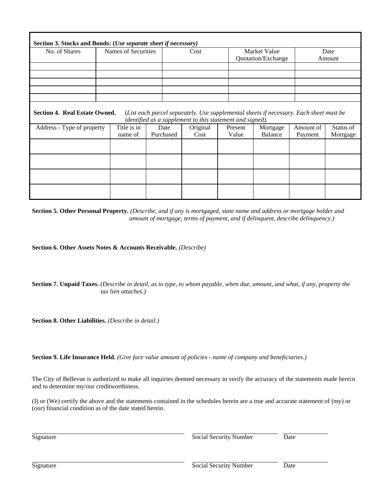| No. of Shares | Names of Securities | Cost | Market Value<br><b>Ouotation/Exchange</b> | Date<br>Amount |
|---------------|---------------------|------|-------------------------------------------|----------------|
|               |                     |      |                                           |                |
|               |                     |      |                                           |                |
|               |                     |      |                                           |                |
|               |                     |      |                                           |                |

|                            |             |           | mentitied as a supplement to this statement and signed). |         |          |           |           |
|----------------------------|-------------|-----------|----------------------------------------------------------|---------|----------|-----------|-----------|
| Address - Type of property | Title is in | Date      | Original                                                 | Present | Mortgage | Amount of | Status of |
|                            | name of     | Purchased | Cost                                                     | Value   | Balance  | Payment   | Mortgage  |
|                            |             |           |                                                          |         |          |           |           |
|                            |             |           |                                                          |         |          |           |           |
|                            |             |           |                                                          |         |          |           |           |
|                            |             |           |                                                          |         |          |           |           |
|                            |             |           |                                                          |         |          |           |           |
|                            |             |           |                                                          |         |          |           |           |
|                            |             |           |                                                          |         |          |           |           |
|                            |             |           |                                                          |         |          |           |           |

**Section 5. Other Personal Property.** *(Describe, and if any is mortgaged, state name and address or mortgage holder and amount of mortgage, terms of payment, and if delinquent, describe delinquency.)*

**Section 6. Other Assets Notes & Accounts Receivable.** *(Describe)*

**Section 7. Unpaid Taxes.** *(Describe in detail, as to type, to whom payable, when due, amount, and what, if any, property the tax lien attaches.)*

**Section 8. Other Liabilities.** *(Describe in detail.)*

**Section 9. Life Insurance Held.** *(Give face value amount of policies - name of company and beneficiaries.)*

The City of Bellevue is authorized to make all inquiries deemed necessary to verify the accuracy of the statements made herein and to determine my/our creditworthiness.

(I) or (We) certify the above and the statements contained in the schedules herein are a true and accurate statement of (my) or (our) financial condition as of the date stated herein.

Signature Social Security Number Date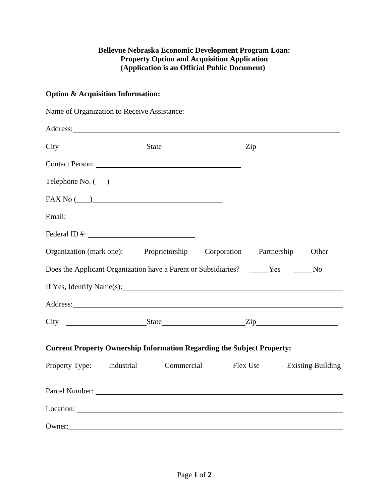# **Bellevue Nebraska Economic Development Program Loan: Property Option and Acquisition Application (Application is an Official Public Document)**

# **Option & Acquisition Information:**

| Address: Note that the contract of the contract of the contract of the contract of the contract of the contract of the contract of the contract of the contract of the contract of the contract of the contract of the contrac      |  |  |
|-------------------------------------------------------------------------------------------------------------------------------------------------------------------------------------------------------------------------------------|--|--|
|                                                                                                                                                                                                                                     |  |  |
|                                                                                                                                                                                                                                     |  |  |
| $\begin{tabular}{c} Telephone No. ( \underline{\hspace{1cm}}) \end{tabular}$                                                                                                                                                        |  |  |
| $\text{FAX No } (\_\_\_)$                                                                                                                                                                                                           |  |  |
|                                                                                                                                                                                                                                     |  |  |
|                                                                                                                                                                                                                                     |  |  |
| Organization (mark one): Proprietorship Corporation Partnership Other                                                                                                                                                               |  |  |
| Does the Applicant Organization have a Parent or Subsidiaries? ______Yes _______No                                                                                                                                                  |  |  |
| If Yes, Identify Name(s):                                                                                                                                                                                                           |  |  |
| Address: <u>Address:</u> Address: Address: Address: Address: Address: Address: Address: Address: Address: Address: Address: Address: Address: Address: Address: Address: Address: Address: Address: Address: Address: Address: Addr |  |  |
|                                                                                                                                                                                                                                     |  |  |
| <b>Current Property Ownership Information Regarding the Subject Property:</b><br>Property Type: Industrial Commercial Flex Use Existing Building                                                                                    |  |  |
|                                                                                                                                                                                                                                     |  |  |
|                                                                                                                                                                                                                                     |  |  |
| Owner: Note and the contract of the contract of the contract of the contract of the contract of the contract of the contract of the contract of the contract of the contract of the contract of the contract of the contract o      |  |  |